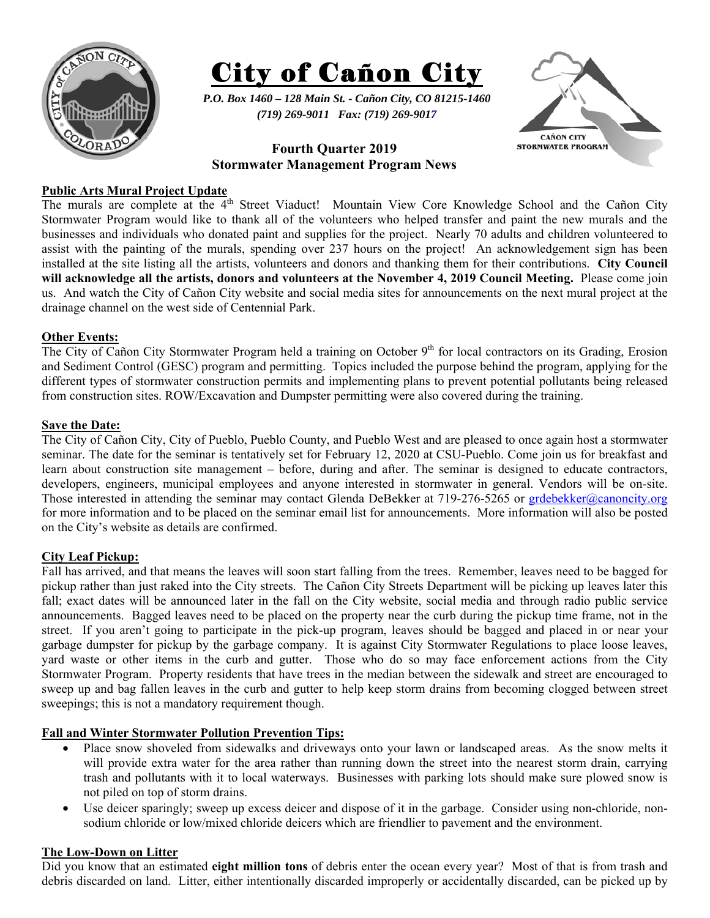



*P.O. Box 1460 – 128 Main St. - Cañon City, CO 81215-1460 (719) 269-9011 Fax: (719) 269-9017* 



# **Fourth Quarter 2019 Stormwater Management Program News**

## **Public Arts Mural Project Update**

The murals are complete at the 4<sup>th</sup> Street Viaduct! Mountain View Core Knowledge School and the Cañon City Stormwater Program would like to thank all of the volunteers who helped transfer and paint the new murals and the businesses and individuals who donated paint and supplies for the project. Nearly 70 adults and children volunteered to assist with the painting of the murals, spending over 237 hours on the project! An acknowledgement sign has been installed at the site listing all the artists, volunteers and donors and thanking them for their contributions. **City Council will acknowledge all the artists, donors and volunteers at the November 4, 2019 Council Meeting.** Please come join us. And watch the City of Cañon City website and social media sites for announcements on the next mural project at the drainage channel on the west side of Centennial Park.

#### **Other Events:**

The City of Cañon City Stormwater Program held a training on October  $9<sup>th</sup>$  for local contractors on its Grading, Erosion and Sediment Control (GESC) program and permitting. Topics included the purpose behind the program, applying for the different types of stormwater construction permits and implementing plans to prevent potential pollutants being released from construction sites. ROW/Excavation and Dumpster permitting were also covered during the training.

#### **Save the Date:**

The City of Cañon City, City of Pueblo, Pueblo County, and Pueblo West and are pleased to once again host a stormwater seminar. The date for the seminar is tentatively set for February 12, 2020 at CSU-Pueblo. Come join us for breakfast and learn about construction site management – before, during and after. The seminar is designed to educate contractors, developers, engineers, municipal employees and anyone interested in stormwater in general. Vendors will be on-site. Those interested in attending the seminar may contact Glenda DeBekker at 719-276-5265 or grdebekker@canoncity.org for more information and to be placed on the seminar email list for announcements. More information will also be posted on the City's website as details are confirmed.

#### **City Leaf Pickup:**

Fall has arrived, and that means the leaves will soon start falling from the trees. Remember, leaves need to be bagged for pickup rather than just raked into the City streets. The Cañon City Streets Department will be picking up leaves later this fall; exact dates will be announced later in the fall on the City website, social media and through radio public service announcements. Bagged leaves need to be placed on the property near the curb during the pickup time frame, not in the street. If you aren't going to participate in the pick-up program, leaves should be bagged and placed in or near your garbage dumpster for pickup by the garbage company. It is against City Stormwater Regulations to place loose leaves, yard waste or other items in the curb and gutter. Those who do so may face enforcement actions from the City Stormwater Program. Property residents that have trees in the median between the sidewalk and street are encouraged to sweep up and bag fallen leaves in the curb and gutter to help keep storm drains from becoming clogged between street sweepings; this is not a mandatory requirement though.

### **Fall and Winter Stormwater Pollution Prevention Tips:**

- Place snow shoveled from sidewalks and driveways onto your lawn or landscaped areas. As the snow melts it will provide extra water for the area rather than running down the street into the nearest storm drain, carrying trash and pollutants with it to local waterways. Businesses with parking lots should make sure plowed snow is not piled on top of storm drains.
- Use deicer sparingly; sweep up excess deicer and dispose of it in the garbage. Consider using non-chloride, nonsodium chloride or low/mixed chloride deicers which are friendlier to pavement and the environment.

#### **The Low-Down on Litter**

Did you know that an estimated **eight million tons** of debris enter the ocean every year? Most of that is from trash and debris discarded on land. Litter, either intentionally discarded improperly or accidentally discarded, can be picked up by